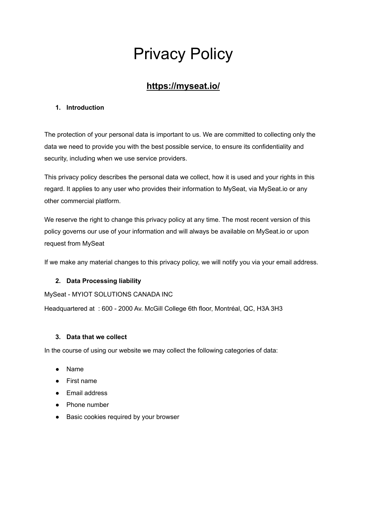# Privacy Policy

# **https://myseat.io/**

## **1. Introduction**

The protection of your personal data is important to us. We are committed to collecting only the data we need to provide you with the best possible service, to ensure its confidentiality and security, including when we use service providers.

This privacy policy describes the personal data we collect, how it is used and your rights in this regard. It applies to any user who provides their information to MySeat, via MySeat.io or any other commercial platform.

We reserve the right to change this privacy policy at any time. The most recent version of this policy governs our use of your information and will always be available on MySeat.io or upon request from MySeat

If we make any material changes to this privacy policy, we will notify you via your email address.

# **2. Data Processing liability**

MySeat - MYIOT SOLUTIONS CANADA INC

Headquartered at : 600 - 2000 Av. McGill College 6th floor, Montréal, QC, H3A 3H3

### **3. Data that we collect**

In the course of using our website we may collect the following categories of data:

- Name
- First name
- Email address
- Phone number
- Basic cookies required by your browser